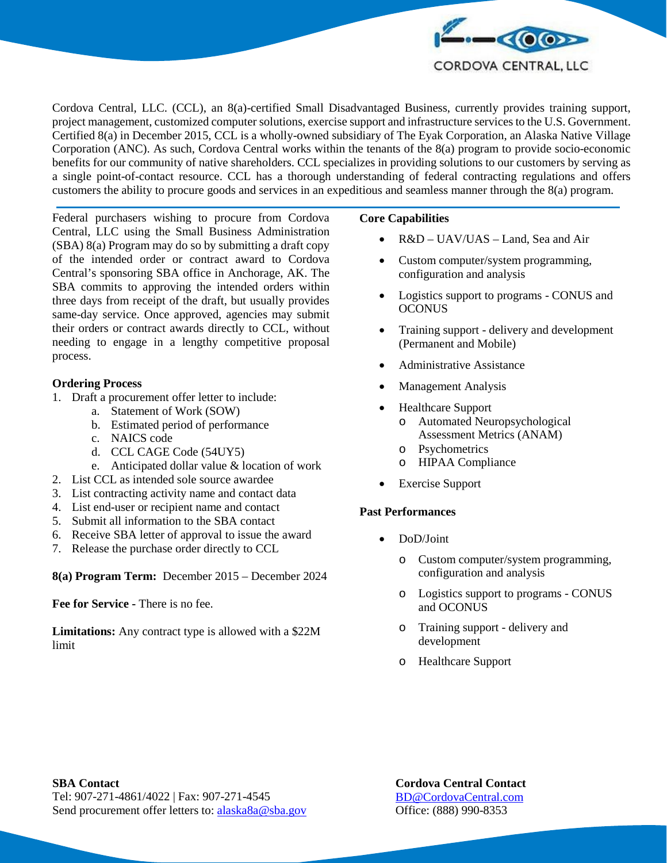

Cordova Central, LLC. (CCL), an 8(a)-certified Small Disadvantaged Business, currently provides training support, project management, customized computer solutions, exercise support and infrastructure services to the U.S. Government. Certified 8(a) in December 2015, CCL is a wholly-owned subsidiary of The Eyak Corporation, an Alaska Native Village Corporation (ANC). As such, Cordova Central works within the tenants of the 8(a) program to provide socio-economic benefits for our community of native shareholders. CCL specializes in providing solutions to our customers by serving as a single point-of-contact resource. CCL has a thorough understanding of federal contracting regulations and offers customers the ability to procure goods and services in an expeditious and seamless manner through the 8(a) program.

Federal purchasers wishing to procure from Cordova Central, LLC using the Small Business Administration (SBA) 8(a) Program may do so by submitting a draft copy of the intended order or contract award to Cordova Central's sponsoring SBA office in Anchorage, AK. The SBA commits to approving the intended orders within three days from receipt of the draft, but usually provides same-day service. Once approved, agencies may submit their orders or contract awards directly to CCL, without needing to engage in a lengthy competitive proposal process.

## **Ordering Process**

- 1. Draft a procurement offer letter to include:
	- a. Statement of Work (SOW)
	- b. Estimated period of performance
	- c. NAICS code
	- d. CCL CAGE Code (54UY5)
	- e. Anticipated dollar value & location of work
- 2. List CCL as intended sole source awardee
- 3. List contracting activity name and contact data
- 4. List end-user or recipient name and contact
- 5. Submit all information to the SBA contact
- 6. Receive SBA letter of approval to issue the award
- 7. Release the purchase order directly to CCL

**8(a) Program Term:** December 2015 – December 2024

**Fee for Service -** There is no fee.

**Limitations:** Any contract type is allowed with a \$22M limit

### **Core Capabilities**

- R&D UAV/UAS Land, Sea and Air
- Custom computer/system programming, configuration and analysis
- Logistics support to programs CONUS and **OCONUS**
- Training support delivery and development (Permanent and Mobile)
- Administrative Assistance
- Management Analysis
- Healthcare Support
	- o Automated Neuropsychological Assessment Metrics (ANAM)
	- o Psychometrics
	- o HIPAA Compliance
- Exercise Support

### **Past Performances**

- DoD/Joint
	- o Custom computer/system programming, configuration and analysis
	- o Logistics support to programs CONUS and OCONUS
	- o Training support delivery and development
	- o Healthcare Support